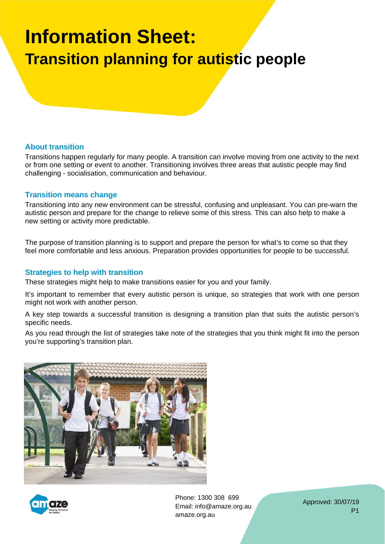# **Information Sheet: Transition planning for autistic people**

#### **About transition**

Transitions happen regularly for many people. A transition can involve moving from one activity to the next or from one setting or event to another. Transitioning involves three areas that autistic people may find challenging - socialisation, communication and behaviour.

#### **Transition means change**

Transitioning into any new environment can be stressful, confusing and unpleasant. You can pre-warn the autistic person and prepare for the change to relieve some of this stress. This can also help to make a new setting or activity more predictable.

The purpose of transition planning is to support and prepare the person for what's to come so that they feel more comfortable and less anxious. Preparation provides opportunities for people to be successful.

#### **Strategies to help with transition**

These strategies might help to make transitions easier for you and your family.

It's important to remember that every autistic person is unique, so strategies that work with one person might not work with another person.

A key step towards a successful transition is designing a transition plan that suits the autistic person's specific needs.

As you read through the list of strategies take note of the strategies that you think might fit into the person you're supporting's transition plan.





Phone: 1300 308 699 Email: info@amaze.org.au amaze.org.au

Approved: 30/07/19 P1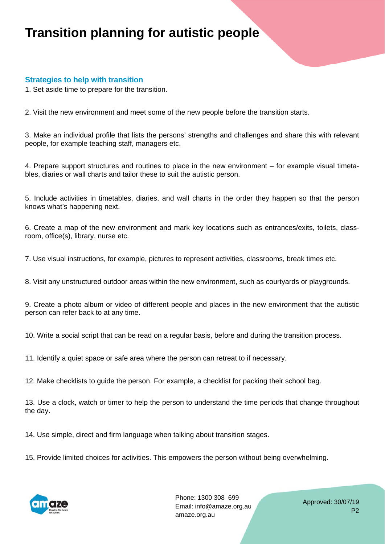## **Transition planning for autistic people**

### **Strategies to help with transition**

1. Set aside time to prepare for the transition.

2. Visit the new environment and meet some of the new people before the transition starts.

3. Make an individual profile that lists the persons' strengths and challenges and share this with relevant people, for example teaching staff, managers etc.

4. Prepare support structures and routines to place in the new environment – for example visual timetables, diaries or wall charts and tailor these to suit the autistic person.

5. Include activities in timetables, diaries, and wall charts in the order they happen so that the person knows what's happening next.

6. Create a map of the new environment and mark key locations such as entrances/exits, toilets, classroom, office(s), library, nurse etc.

7. Use visual instructions, for example, pictures to represent activities, classrooms, break times etc.

8. Visit any unstructured outdoor areas within the new environment, such as courtyards or playgrounds.

9. Create a photo album or video of different people and places in the new environment that the autistic person can refer back to at any time.

10. Write a social script that can be read on a regular basis, before and during the transition process.

11. Identify a quiet space or safe area where the person can retreat to if necessary.

12. Make checklists to guide the person. For example, a checklist for packing their school bag.

13. Use a clock, watch or timer to help the person to understand the time periods that change throughout the day.

14. Use simple, direct and firm language when talking about transition stages.

15. Provide limited choices for activities. This empowers the person without being overwhelming.



Phone: 1300 308 699 Email: info@amaze.org.au amaze.org.au